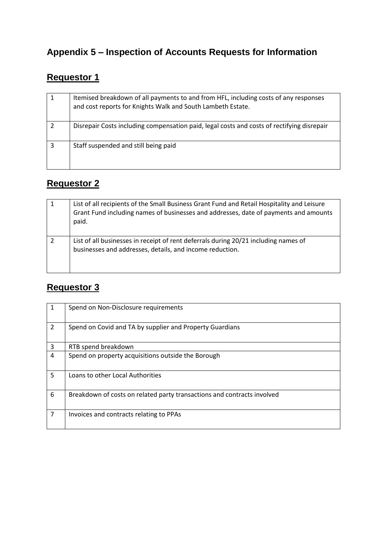# **Appendix 5 – Inspection of Accounts Requests for Information**

# **Requestor 1**

| Itemised breakdown of all payments to and from HFL, including costs of any responses<br>and cost reports for Knights Walk and South Lambeth Estate. |
|-----------------------------------------------------------------------------------------------------------------------------------------------------|
| Disrepair Costs including compensation paid, legal costs and costs of rectifying disrepair                                                          |
| Staff suspended and still being paid                                                                                                                |

# **Requestor 2**

|   | List of all recipients of the Small Business Grant Fund and Retail Hospitality and Leisure<br>Grant Fund including names of businesses and addresses, date of payments and amounts<br>paid. |
|---|---------------------------------------------------------------------------------------------------------------------------------------------------------------------------------------------|
| 2 | List of all businesses in receipt of rent deferrals during 20/21 including names of<br>businesses and addresses, details, and income reduction.                                             |

#### **Requestor 3**

| 1              | Spend on Non-Disclosure requirements                                    |
|----------------|-------------------------------------------------------------------------|
| $\overline{2}$ | Spend on Covid and TA by supplier and Property Guardians                |
| 3              | RTB spend breakdown                                                     |
| 4              | Spend on property acquisitions outside the Borough                      |
| 5              | Loans to other Local Authorities                                        |
| 6              | Breakdown of costs on related party transactions and contracts involved |
| 7              | Invoices and contracts relating to PPAs                                 |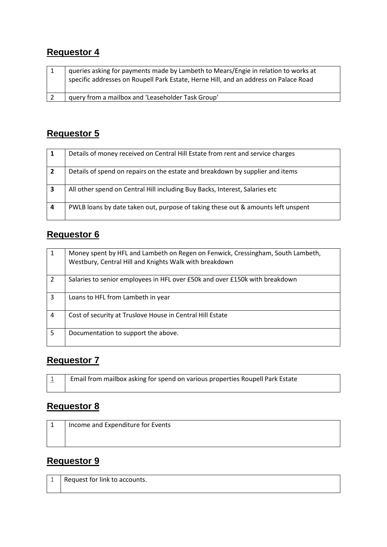#### **Requestor 4**

| queries asking for payments made by Lambeth to Mears/Engie in relation to works at<br>specific addresses on Roupell Park Estate, Herne Hill, and an address on Palace Road |
|----------------------------------------------------------------------------------------------------------------------------------------------------------------------------|
| query from a mailbox and 'Leaseholder Task Group'                                                                                                                          |

## **Requestor 5**

| -1               | Details of money received on Central Hill Estate from rent and service charges   |
|------------------|----------------------------------------------------------------------------------|
| $\overline{2}$   | Details of spend on repairs on the estate and breakdown by supplier and items    |
| 3                | All other spend on Central Hill including Buy Backs, Interest, Salaries etc      |
| $\boldsymbol{4}$ | PWLB loans by date taken out, purpose of taking these out & amounts left unspent |

## **Requestor 6**

| 1              | Money spent by HFL and Lambeth on Regen on Fenwick, Cressingham, South Lambeth,<br>Westbury, Central Hill and Knights Walk with breakdown |
|----------------|-------------------------------------------------------------------------------------------------------------------------------------------|
| $\overline{2}$ | Salaries to senior employees in HFL over £50k and over £150k with breakdown                                                               |
| 3              | Loans to HFL from Lambeth in year                                                                                                         |
| 4              | Cost of security at Truslove House in Central Hill Estate                                                                                 |
| 5              | Documentation to support the above.                                                                                                       |

#### **Requestor 7**

| Email from mailbox asking for spend on various properties Roupell Park Estate |
|-------------------------------------------------------------------------------|
|                                                                               |

#### **Requestor 8**

| ᆠ | Income and Expenditure for Events |
|---|-----------------------------------|
|   |                                   |
|   |                                   |

# **Requestor 9**

| ᅩ | Request for link to accounts. |
|---|-------------------------------|
|   |                               |